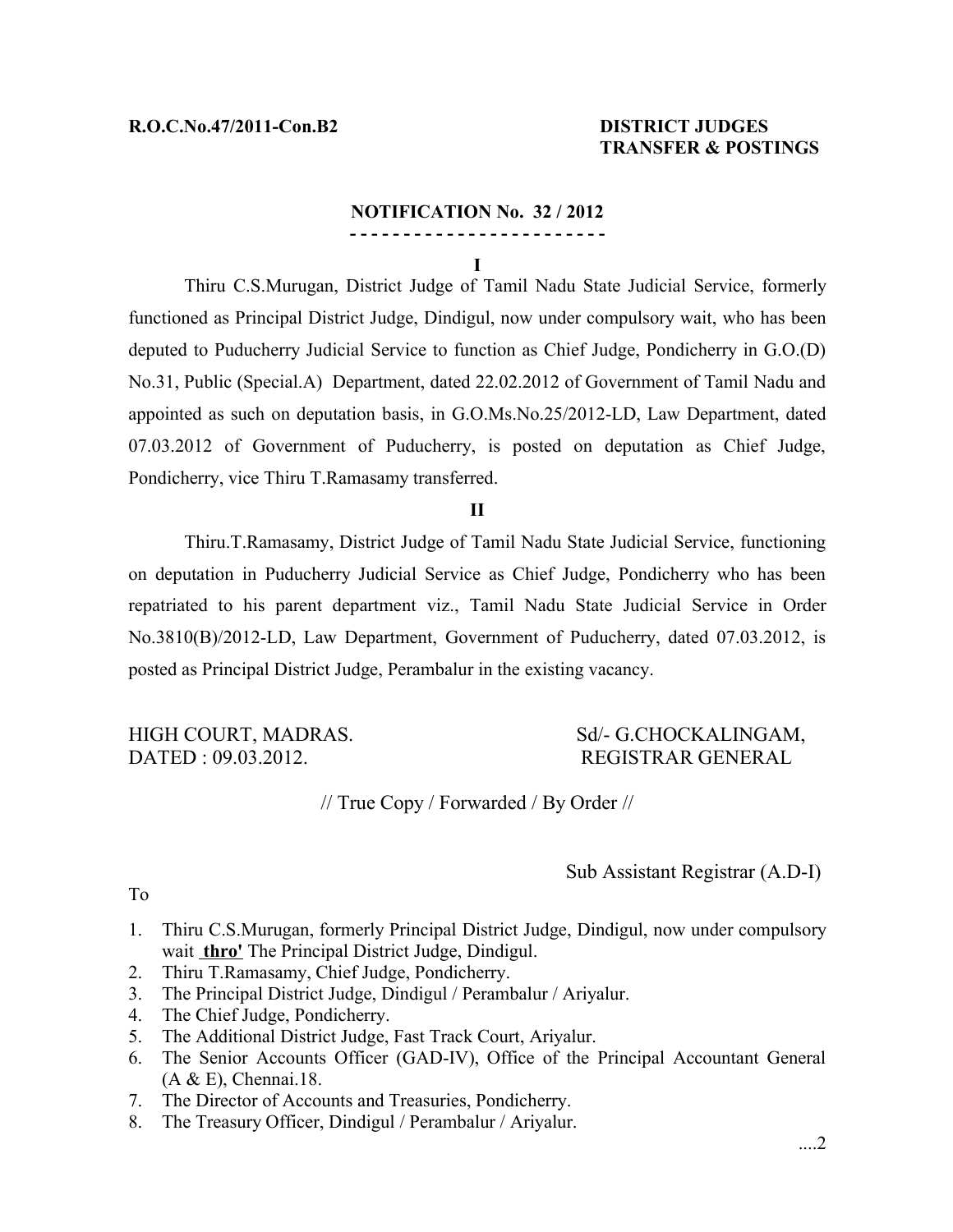## **TRANSFER & POSTINGS**

### **NOTIFICATION No. 32 / 2012 - - - - - - - - - - - - - - - - - - - - - - - -**

**I**

Thiru C.S.Murugan, District Judge of Tamil Nadu State Judicial Service, formerly functioned as Principal District Judge, Dindigul, now under compulsory wait, who has been deputed to Puducherry Judicial Service to function as Chief Judge, Pondicherry in G.O.(D) No.31, Public (Special.A) Department, dated 22.02.2012 of Government of Tamil Nadu and appointed as such on deputation basis, in G.O.Ms.No.25/2012-LD, Law Department, dated 07.03.2012 of Government of Puducherry, is posted on deputation as Chief Judge, Pondicherry, vice Thiru T.Ramasamy transferred.

### **II**

Thiru.T.Ramasamy, District Judge of Tamil Nadu State Judicial Service, functioning on deputation in Puducherry Judicial Service as Chief Judge, Pondicherry who has been repatriated to his parent department viz., Tamil Nadu State Judicial Service in Order No.3810(B)/2012-LD, Law Department, Government of Puducherry, dated 07.03.2012, is posted as Principal District Judge, Perambalur in the existing vacancy.

DATED : 09.03.2012. REGISTRAR GENERAL

# HIGH COURT, MADRAS. Sd/- G.CHOCKALINGAM,

// True Copy / Forwarded / By Order //

Sub Assistant Registrar (A.D-I)

## To

- 1. Thiru C.S.Murugan, formerly Principal District Judge, Dindigul, now under compulsory wait **thro'** The Principal District Judge, Dindigul.
- 2. Thiru T.Ramasamy, Chief Judge, Pondicherry.
- 3. The Principal District Judge, Dindigul / Perambalur / Ariyalur.
- 4. The Chief Judge, Pondicherry.
- 5. The Additional District Judge, Fast Track Court, Ariyalur.
- 6. The Senior Accounts Officer (GAD-IV), Office of the Principal Accountant General (A & E), Chennai.18.
- 7. The Director of Accounts and Treasuries, Pondicherry.
- 8. The Treasury Officer, Dindigul / Perambalur / Ariyalur.